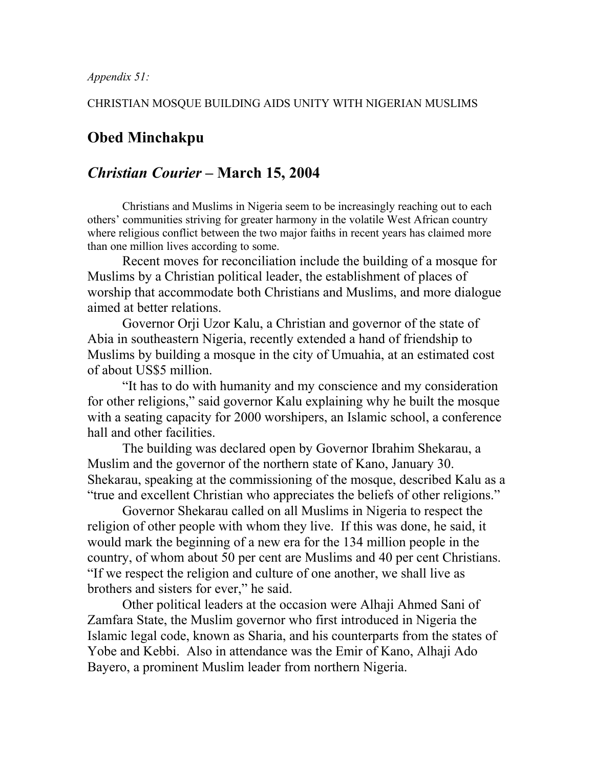*Appendix 51:*

## CHRISTIAN MOSQUE BUILDING AIDS UNITY WITH NIGERIAN MUSLIMS

## **Obed Minchakpu**

## *Christian Courier –* **March 15, 2004**

Christians and Muslims in Nigeria seem to be increasingly reaching out to each others' communities striving for greater harmony in the volatile West African country where religious conflict between the two major faiths in recent years has claimed more than one million lives according to some.

Recent moves for reconciliation include the building of a mosque for Muslims by a Christian political leader, the establishment of places of worship that accommodate both Christians and Muslims, and more dialogue aimed at better relations.

Governor Orji Uzor Kalu, a Christian and governor of the state of Abia in southeastern Nigeria, recently extended a hand of friendship to Muslims by building a mosque in the city of Umuahia, at an estimated cost of about US\$5 million.

"It has to do with humanity and my conscience and my consideration for other religions," said governor Kalu explaining why he built the mosque with a seating capacity for 2000 worshipers, an Islamic school, a conference hall and other facilities.

The building was declared open by Governor Ibrahim Shekarau, a Muslim and the governor of the northern state of Kano, January 30. Shekarau, speaking at the commissioning of the mosque, described Kalu as a "true and excellent Christian who appreciates the beliefs of other religions."

Governor Shekarau called on all Muslims in Nigeria to respect the religion of other people with whom they live. If this was done, he said, it would mark the beginning of a new era for the 134 million people in the country, of whom about 50 per cent are Muslims and 40 per cent Christians. "If we respect the religion and culture of one another, we shall live as brothers and sisters for ever," he said.

Other political leaders at the occasion were Alhaji Ahmed Sani of Zamfara State, the Muslim governor who first introduced in Nigeria the Islamic legal code, known as Sharia, and his counterparts from the states of Yobe and Kebbi. Also in attendance was the Emir of Kano, Alhaji Ado Bayero, a prominent Muslim leader from northern Nigeria.